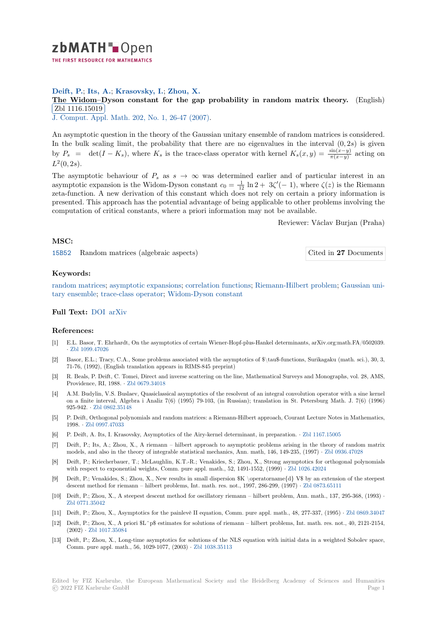

# **Deift, P.**; **Its, A.**; **Krasovsky, I.**; **Zhou, X.**

**[T](https://zbmath.org/)he Widom–Dyson constant for the gap probability in random matrix theory.** (English) Zbl 1116.15019

✂ ✁ J. Comput. Appl. Math. 202, No. 1, 26-47 (2007).

[An asymptotic question in the theory of the Gaussian unitary ensemble of random matrices is](https://zbmath.org/1116.15019) considered. [In the bulk scalin](https://zbmath.org/1116.15019)g limit, the probability that there are no eigenvalues in the interval  $(0, 2s)$  is given by  $P_s = \det(I - K_s)$  $P_s = \det(I - K_s)$  $P_s = \det(I - K_s)$ , where  $K_s$  [is the trace-cl](https://zbmath.org/?q=in:193750)ass operator with kernel  $K_s(x, y) = \frac{\sin(x-y)}{\pi(x-y)}$  acting on  $L^2(0, 2s)$ .

The asymptotic behaviour of  $P_s$  as  $s \to \infty$  was determined earlier and of particular interest in an asymptotic expansion is the Widom-Dyson constant  $c_0 = \frac{1}{12} \ln 2 + 3\zeta'(-1)$ , where  $\zeta(z)$  is the Riemann zeta-function. A new derivation of this constant which does not rely on certain a priory information is presented. This approach has the potential advantage of being applicable to other problems involving the computation of critical constants, where a priori information may not be available.

Reviewer: Václav Burjan (Praha)

## **MSC:**

15B52 Random matrices (algebraic aspects) Cited in **27** Documents

# **Keywords:**

[random](https://zbmath.org/classification/?q=cc:15B52) matrices; asymptotic expansions; correlation functions; Riemann-Hilbert problem; [Gaussian uni](https://zbmath.org/?q=rf:1116.15019|5142278)tary ensemble; trace-class operator; Widom-Dyson constant

## **Full Text:** DOI arXiv

#### **[References:](https://zbmath.org/?q=ut:Gaussian+unitary+ensemble)**

- [1] E.L. Basor, T. [Ehrhardt](https://arxiv.org/abs/math/0601535), On the asymptotics of certain Wiener-Hopf-plus-Hankel determinants, arXiv.org:math.FA/0502039. *·* Zbl 109[9.4702](https://dx.doi.org/10.1016/j.cam.2005.12.040)6
- [2] Basor, E.L.; Tracy, C.A., Some problems associated with the asymptotics of \$\tau\$-functions, Surikagaku (math. sci.), 30, 3, 71-76, (1992), (English translation appears in RIMS-845 preprint)
- [3] R. Beals, P. Deift, C. Tomei, Direct and inverse scattering on the line, Mathematical Surveys and Monographs, vol. 28, AMS, [Providence, RI, 1](https://zbmath.org/1099.47026)988. *·* Zbl 0679.34018
- [4] A.M. Budylin, V.S. Buslaev, Quasiclassical asymptotics of the resolvent of an integral convolution operator with a sine kernel on a finite interval, Algebra i Analiz 7(6) (1995) 79-103, (in Russian); translation in St. Petersburg Math. J. 7(6) (1996) 925-942. *·* Zbl 0862.35148
- [5] P. Deift, Orthogonal po[lynomials and r](https://zbmath.org/0679.34018)andom matrices: a Riemann-Hilbert approach, Courant Lecture Notes in Mathematics, 1998. *·* Zbl 0997.47033
- [6] P. Deift, A. Its, I. Krasovsky, Asymptotics of the Airy-kernel determinant, in preparation. *·* Zbl 1167.15005
- [7] Deift, P.; [Its, A.; Zhou, X](https://zbmath.org/0862.35148)., A riemann hilbert approach to asymptotic problems arising in the theory of random matrix models, and also in the theory of integrable statistical mechanics, Ann. math, 146, 149-235, (1997) *·* Zbl 0936.47028
- [8] Deift, [P.; Kriecherbaue](https://zbmath.org/0997.47033)r, T.; McLaughlin, K.T.-R.; Venakides, S.; Zhou, X., Strong asymptotics for orthogonal polynomials with respect to exponential weights, Comm. pure appl. math., 52, 1491-1552, (1999) *·* Zbl1[026.42024](https://zbmath.org/1167.15005)
- [9] Deift, P.; Venakides, S.; Zhou, X., New results in small dispersion \$K \operatorname{d} V\$ by an extension of the steepest descent method for riemann – hilbert problems, Int. math. res. not., 1997, 286-299, (1997) *·* Zbl 087[3.65111](https://zbmath.org/0936.47028)
- [10] Deift, P.; Zhou, X., A steepest descent method for oscillatory riemann hilbert problem, Ann. math., 137, 295-368, (1993) *·* Zbl 0771.35042
- [11] Deift, P.; Zhou, X., Asymptotics for the painlevè II equation, Comm. pure appl. math., 48, 277-337, (1995) *·* Zbl 0869.34047
- [12] Deift, P.; Zhou, X., A priori \$L^p\$ estimates for solutions of riemann hilbert problems, In[t. math. res. not](https://zbmath.org/0873.65111)., 40, 2121-2154, (2002) *·* Zbl 1017.35084
- [13] [Deift, P.; Zhou,](https://zbmath.org/0771.35042) X., Long-time asymptotics for solutions of the NLS equation with initial data in a weighted Sobolev space, Comm. pure appl. math., 56, 1029-1077, (2003) *·* Zbl 1038.35113